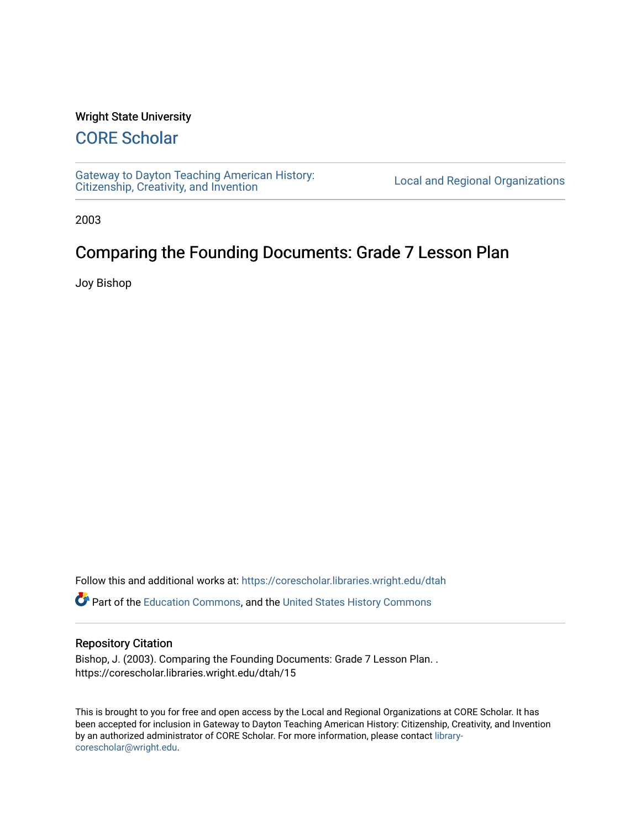#### Wright State University

## [CORE Scholar](https://corescholar.libraries.wright.edu/)

[Gateway to Dayton Teaching American History:](https://corescholar.libraries.wright.edu/dtah)  Gateway to Dayton Teaching American History.<br>[Citizenship, Creativity, and Invention](https://corescholar.libraries.wright.edu/dtah) Listory Local and Regional Organizations

2003

# Comparing the Founding Documents: Grade 7 Lesson Plan

Joy Bishop

Follow this and additional works at: [https://corescholar.libraries.wright.edu/dtah](https://corescholar.libraries.wright.edu/dtah?utm_source=corescholar.libraries.wright.edu%2Fdtah%2F15&utm_medium=PDF&utm_campaign=PDFCoverPages)

Part of the [Education Commons](http://network.bepress.com/hgg/discipline/784?utm_source=corescholar.libraries.wright.edu%2Fdtah%2F15&utm_medium=PDF&utm_campaign=PDFCoverPages), and the [United States History Commons](http://network.bepress.com/hgg/discipline/495?utm_source=corescholar.libraries.wright.edu%2Fdtah%2F15&utm_medium=PDF&utm_campaign=PDFCoverPages) 

#### Repository Citation

Bishop, J. (2003). Comparing the Founding Documents: Grade 7 Lesson Plan. . https://corescholar.libraries.wright.edu/dtah/15

This is brought to you for free and open access by the Local and Regional Organizations at CORE Scholar. It has been accepted for inclusion in Gateway to Dayton Teaching American History: Citizenship, Creativity, and Invention by an authorized administrator of CORE Scholar. For more information, please contact [library](mailto:library-corescholar@wright.edu)[corescholar@wright.edu](mailto:library-corescholar@wright.edu).